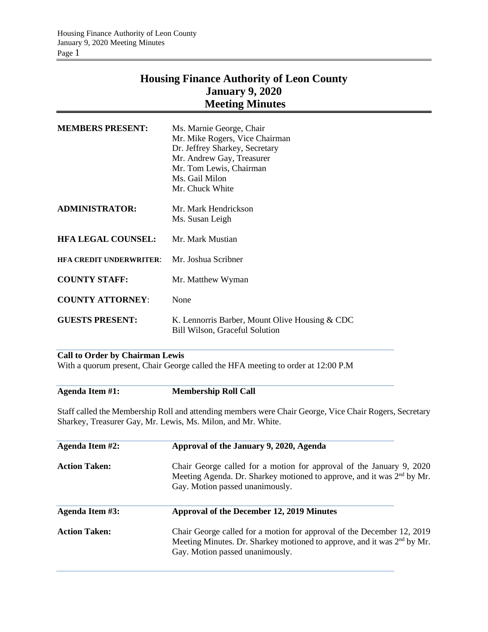# **Housing Finance Authority of Leon County January 9, 2020 Meeting Minutes**

| <b>MEMBERS PRESENT:</b>        | Ms. Marnie George, Chair<br>Mr. Mike Rogers, Vice Chairman<br>Dr. Jeffrey Sharkey, Secretary<br>Mr. Andrew Gay, Treasurer<br>Mr. Tom Lewis, Chairman<br>Ms. Gail Milon<br>Mr. Chuck White |
|--------------------------------|-------------------------------------------------------------------------------------------------------------------------------------------------------------------------------------------|
| ADMINISTRATOR:                 | Mr. Mark Hendrickson<br>Ms. Susan Leigh                                                                                                                                                   |
| <b>HFA LEGAL COUNSEL:</b>      | Mr. Mark Mustian                                                                                                                                                                          |
| <b>HFA CREDIT UNDERWRITER:</b> | Mr. Joshua Scribner                                                                                                                                                                       |
| <b>COUNTY STAFF:</b>           | Mr. Matthew Wyman                                                                                                                                                                         |
| <b>COUNTY ATTORNEY:</b>        | None                                                                                                                                                                                      |
| <b>GUESTS PRESENT:</b>         | K. Lennorris Barber, Mount Olive Housing & CDC<br>Bill Wilson, Graceful Solution                                                                                                          |

# **Call to Order by Chairman Lewis**

With a quorum present, Chair George called the HFA meeting to order at 12:00 P.M

| Agenda Item #1: | <b>Membership Roll Call</b> |
|-----------------|-----------------------------|
|                 |                             |

Staff called the Membership Roll and attending members were Chair George, Vice Chair Rogers, Secretary Sharkey, Treasurer Gay, Mr. Lewis, Ms. Milon, and Mr. White.

| Agenda Item #2:      | Approval of the January 9, 2020, Agenda                                                                                                                                                          |
|----------------------|--------------------------------------------------------------------------------------------------------------------------------------------------------------------------------------------------|
| <b>Action Taken:</b> | Chair George called for a motion for approval of the January 9, 2020<br>Meeting Agenda. Dr. Sharkey motioned to approve, and it was 2 <sup>nd</sup> by Mr.<br>Gay. Motion passed unanimously.    |
| Agenda Item #3:      | Approval of the December 12, 2019 Minutes                                                                                                                                                        |
| <b>Action Taken:</b> | Chair George called for a motion for approval of the December 12, 2019<br>Meeting Minutes. Dr. Sharkey motioned to approve, and it was 2 <sup>nd</sup> by Mr.<br>Gay. Motion passed unanimously. |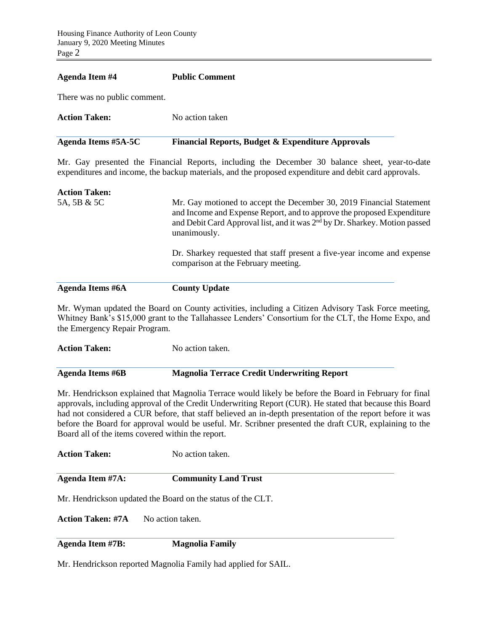#### **Agenda Item #4 Public Comment**

**Agenda Items #6A County Update** 

There was no public comment.

| Agenda Items #5A-5C  | <b>Financial Reports, Budget &amp; Expenditure Approvals</b> |
|----------------------|--------------------------------------------------------------|
| <b>Action Taken:</b> | No action taken                                              |

Mr. Gay presented the Financial Reports, including the December 30 balance sheet, year-to-date expenditures and income, the backup materials, and the proposed expenditure and debit card approvals.

| <b>Action Taken:</b> |                                                                                                                                                                                                                                                          |
|----------------------|----------------------------------------------------------------------------------------------------------------------------------------------------------------------------------------------------------------------------------------------------------|
| 5A, 5B & 5C          | Mr. Gay motioned to accept the December 30, 2019 Financial Statement<br>and Income and Expense Report, and to approve the proposed Expenditure<br>and Debit Card Approval list, and it was 2 <sup>nd</sup> by Dr. Sharkey. Motion passed<br>unanimously. |
|                      | Dr. Sharkey requested that staff present a five-year income and expense<br>comparison at the February meeting.                                                                                                                                           |

Mr. Wyman updated the Board on County activities, including a Citizen Advisory Task Force meeting, Whitney Bank's \$15,000 grant to the Tallahassee Lenders' Consortium for the CLT, the Home Expo, and the Emergency Repair Program.

| <b>Action Taken:</b> | No action taken. |
|----------------------|------------------|
|                      |                  |

## **Agenda Items #6B Magnolia Terrace Credit Underwriting Report**

Mr. Hendrickson explained that Magnolia Terrace would likely be before the Board in February for final approvals, including approval of the Credit Underwriting Report (CUR). He stated that because this Board had not considered a CUR before, that staff believed an in-depth presentation of the report before it was before the Board for approval would be useful. Mr. Scribner presented the draft CUR, explaining to the Board all of the items covered within the report.

**Action Taken:** No action taken **Agenda Item #7A: Community Land Trust** Mr. Hendrickson updated the Board on the status of the CLT. **Action Taken: #7A** No action taken.

**Agenda Item #7B: Magnolia Family**

Mr. Hendrickson reported Magnolia Family had applied for SAIL.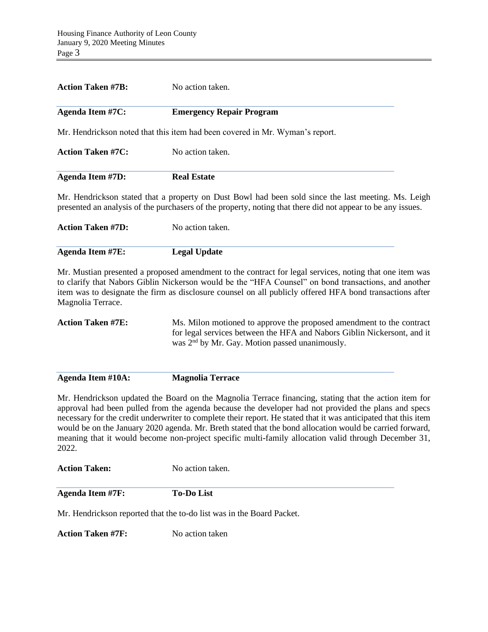| <b>Action Taken #7B:</b> | No action taken.                                                                                                                                                                                                                                                                                                            |
|--------------------------|-----------------------------------------------------------------------------------------------------------------------------------------------------------------------------------------------------------------------------------------------------------------------------------------------------------------------------|
| <b>Agenda Item #7C:</b>  | <b>Emergency Repair Program</b>                                                                                                                                                                                                                                                                                             |
|                          | Mr. Hendrickson noted that this item had been covered in Mr. Wyman's report.                                                                                                                                                                                                                                                |
| <b>Action Taken #7C:</b> | No action taken.                                                                                                                                                                                                                                                                                                            |
| <b>Agenda Item #7D:</b>  | <b>Real Estate</b>                                                                                                                                                                                                                                                                                                          |
|                          | Mr. Hendrickson stated that a property on Dust Bowl had been sold since the last meeting. Ms. Leigh<br>presented an analysis of the purchasers of the property, noting that there did not appear to be any issues.                                                                                                          |
| <b>Action Taken #7D:</b> | No action taken.                                                                                                                                                                                                                                                                                                            |
| <b>Agenda Item #7E:</b>  | <b>Legal Update</b>                                                                                                                                                                                                                                                                                                         |
| Magnolia Terrace.        | Mr. Mustian presented a proposed amendment to the contract for legal services, noting that one item was<br>to clarify that Nabors Giblin Nickerson would be the "HFA Counsel" on bond transactions, and another<br>item was to designate the firm as disclosure counsel on all publicly offered HFA bond transactions after |
| Action Tolzon #7F.       | Me Milon motioned to envice the prepared emendment to the contract                                                                                                                                                                                                                                                          |

**Action Taken #7E:** Ms. Milon motioned to approve the proposed amendment to the contract for legal services between the HFA and Nabors Giblin Nickersont, and it was 2<sup>nd</sup> by Mr. Gay. Motion passed unanimously.

**Agenda Item #10A: Magnolia Terrace**

Mr. Hendrickson updated the Board on the Magnolia Terrace financing, stating that the action item for approval had been pulled from the agenda because the developer had not provided the plans and specs necessary for the credit underwriter to complete their report. He stated that it was anticipated that this item would be on the January 2020 agenda. Mr. Breth stated that the bond allocation would be carried forward, meaning that it would become non-project specific multi-family allocation valid through December 31, 2022.

Action Taken: No action taken.

| <b>Agenda Item #7F:</b> | <b>To-Do List</b> |  |
|-------------------------|-------------------|--|

Mr. Hendrickson reported that the to-do list was in the Board Packet.

**Action Taken #7F:** No action taken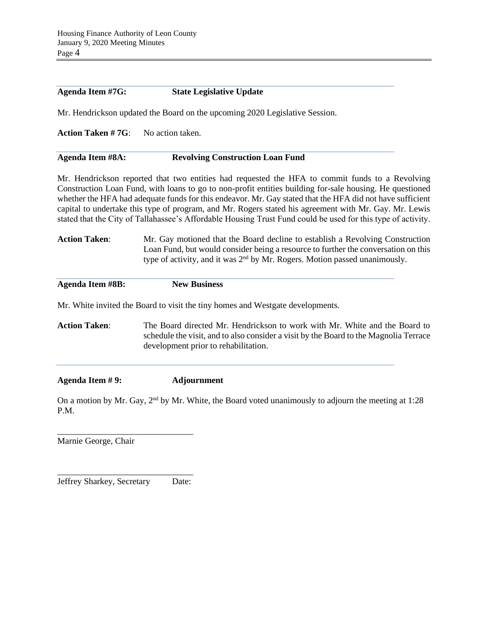| <b>Agenda Item #7G:</b>  | <b>State Legislative Update</b>                                                                                                                                                                                                                                                                                                                                                                                                                                                                                                                    |  |  |  |  |
|--------------------------|----------------------------------------------------------------------------------------------------------------------------------------------------------------------------------------------------------------------------------------------------------------------------------------------------------------------------------------------------------------------------------------------------------------------------------------------------------------------------------------------------------------------------------------------------|--|--|--|--|
|                          | Mr. Hendrickson updated the Board on the upcoming 2020 Legislative Session.                                                                                                                                                                                                                                                                                                                                                                                                                                                                        |  |  |  |  |
| <b>Action Taken #7G:</b> | No action taken.                                                                                                                                                                                                                                                                                                                                                                                                                                                                                                                                   |  |  |  |  |
| Agenda Item #8A:         | <b>Revolving Construction Loan Fund</b>                                                                                                                                                                                                                                                                                                                                                                                                                                                                                                            |  |  |  |  |
|                          | Mr. Hendrickson reported that two entities had requested the HFA to commit funds to a Revolving<br>Construction Loan Fund, with loans to go to non-profit entities building for-sale housing. He questioned<br>whether the HFA had adequate funds for this endeavor. Mr. Gay stated that the HFA did not have sufficient<br>capital to undertake this type of program, and Mr. Rogers stated his agreement with Mr. Gay. Mr. Lewis<br>stated that the City of Tallahassee's Affordable Housing Trust Fund could be used for this type of activity. |  |  |  |  |
| <b>Action Taken:</b>     | Mr. Gay motioned that the Board decline to establish a Revolving Construction<br>Loan Fund, but would consider being a resource to further the conversation on this<br>type of activity, and it was 2 <sup>nd</sup> by Mr. Rogers. Motion passed unanimously.                                                                                                                                                                                                                                                                                      |  |  |  |  |
| <b>Agenda Item #8B:</b>  | <b>New Business</b>                                                                                                                                                                                                                                                                                                                                                                                                                                                                                                                                |  |  |  |  |
|                          | Mr. White invited the Board to visit the tiny homes and Westgate developments.                                                                                                                                                                                                                                                                                                                                                                                                                                                                     |  |  |  |  |
| <b>Action Taken:</b>     | The Board directed Mr. Hendrickson to work with Mr. White and the Board to<br>schedule the visit, and to also consider a visit by the Board to the Magnolia Terrace<br>development prior to rehabilitation.                                                                                                                                                                                                                                                                                                                                        |  |  |  |  |
| Agenda Item #9:          | <b>Adjournment</b>                                                                                                                                                                                                                                                                                                                                                                                                                                                                                                                                 |  |  |  |  |
| P.M.                     | On a motion by Mr. Gay, 2 <sup>nd</sup> by Mr. White, the Board voted unanimously to adjourn the meeting at 1:28                                                                                                                                                                                                                                                                                                                                                                                                                                   |  |  |  |  |
|                          |                                                                                                                                                                                                                                                                                                                                                                                                                                                                                                                                                    |  |  |  |  |

Marnie George, Chair

\_\_\_\_\_\_\_\_\_\_\_\_\_\_\_\_\_\_\_\_\_\_\_\_\_\_\_\_\_\_\_ Jeffrey Sharkey, Secretary Date: